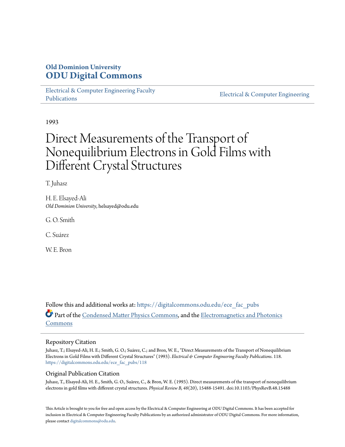# **Old Dominion University [ODU Digital Commons](https://digitalcommons.odu.edu?utm_source=digitalcommons.odu.edu%2Fece_fac_pubs%2F118&utm_medium=PDF&utm_campaign=PDFCoverPages)**

[Electrical & Computer Engineering Faculty](https://digitalcommons.odu.edu/ece_fac_pubs?utm_source=digitalcommons.odu.edu%2Fece_fac_pubs%2F118&utm_medium=PDF&utm_campaign=PDFCoverPages) [Publications](https://digitalcommons.odu.edu/ece_fac_pubs?utm_source=digitalcommons.odu.edu%2Fece_fac_pubs%2F118&utm_medium=PDF&utm_campaign=PDFCoverPages)

[Electrical & Computer Engineering](https://digitalcommons.odu.edu/ece?utm_source=digitalcommons.odu.edu%2Fece_fac_pubs%2F118&utm_medium=PDF&utm_campaign=PDFCoverPages)

1993

# Direct Measurements of the Transport of Nonequilibrium Electrons in Gold Films with Different Crystal Structures

T. Juhasz

H. E. Elsayed-Ali *Old Dominion University*, helsayed@odu.edu

G. O. Smith

C. Suárez

W. E. Bron.

Follow this and additional works at: [https://digitalcommons.odu.edu/ece\\_fac\\_pubs](https://digitalcommons.odu.edu/ece_fac_pubs?utm_source=digitalcommons.odu.edu%2Fece_fac_pubs%2F118&utm_medium=PDF&utm_campaign=PDFCoverPages) Part of the [Condensed Matter Physics Commons,](http://network.bepress.com/hgg/discipline/197?utm_source=digitalcommons.odu.edu%2Fece_fac_pubs%2F118&utm_medium=PDF&utm_campaign=PDFCoverPages) and the [Electromagnetics and Photonics](http://network.bepress.com/hgg/discipline/271?utm_source=digitalcommons.odu.edu%2Fece_fac_pubs%2F118&utm_medium=PDF&utm_campaign=PDFCoverPages) [Commons](http://network.bepress.com/hgg/discipline/271?utm_source=digitalcommons.odu.edu%2Fece_fac_pubs%2F118&utm_medium=PDF&utm_campaign=PDFCoverPages)

#### Repository Citation

Juhasz, T.; Elsayed-Ali, H. E.; Smith, G. O.; Suárez, C.; and Bron, W. E., "Direct Measurements of the Transport of Nonequilibrium Electrons in Gold Films with Different Crystal Structures" (1993). *Electrical & Computer Engineering Faculty Publications*. 118. [https://digitalcommons.odu.edu/ece\\_fac\\_pubs/118](https://digitalcommons.odu.edu/ece_fac_pubs/118?utm_source=digitalcommons.odu.edu%2Fece_fac_pubs%2F118&utm_medium=PDF&utm_campaign=PDFCoverPages)

## Original Publication Citation

Juhasz, T., Elsayed-Ali, H. E., Smith, G. O., Suãrez, C., & Bron, W. E. (1993). Direct measurements of the transport of nonequilibrium electrons in gold films with different crystal structures. *Physical Review B, 48*(20), 15488-15491. doi:10.1103/PhysRevB.48.15488

This Article is brought to you for free and open access by the Electrical & Computer Engineering at ODU Digital Commons. It has been accepted for inclusion in Electrical & Computer Engineering Faculty Publications by an authorized administrator of ODU Digital Commons. For more information, please contact [digitalcommons@odu.edu](mailto:digitalcommons@odu.edu).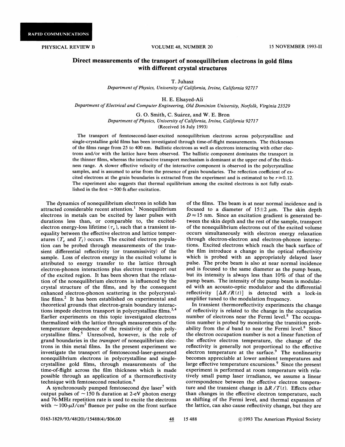## Direct measurements of the transport of nonequilibrium electrons in gold films with different crystal structures

T. Juhasz

Department of Physics, University of California, Irvine, California 92717

H. E. Elsayed-Ali

Department of Electrical and Computer Engineering, Old Dominion University, Norfolk, Virginia 23529

G. O. Smith, C. Suarez, and W. E. Bron Department of Physics, University of California, Irvine, California 92717 (Received 16 July 1993)

The transport of femtosecond-laser-excited nonequilibrium electrons across polycrystalline and single-crystalline gold films has been investigated through time-of-Aight measurements. The thicknesses of the films range from 25 to 400 nm. Ballistic electrons as well as electrons interacting with other electrons and/or with the lattice have been observed. The ballistic component dominates the transport in the thinner films, whereas the interactive transport mechanism is dominant at the upper end of the thickness range. A slower effective velocity of the interactive component is observed in the polycrystalline samples, and is assumed to arise from the presence of grain boundaries. The reflection coefficient of excited electrons at the grain boundaries is extracted from the experiment and is estimated to be  $r \approx 0.12$ . The experiment also suggests that thermal equilibrium among the excited electrons is not fully established in the first  $\sim$  500 fs after excitation.

The dynamics of nonequilibrium electrons in solids has attracted considerable recent attention.<sup>1</sup> Nonequilibrium electrons in metals can be excited by laser pulses with durations less than, or comparable to, the excitedelectron energy-loss lifetime ( $\tau_e$ ), such that a transient inequality between the effective electron and lattice temperatures  $(T_e$  and  $T_l$ ) occurs. The excited electron population can be probed through measurements of the transient differential reflectivity (or transmissivity) of the sample. Loss of electron energy in the excited volume is attributed to energy transfer to the lattice through electron-phonon interactions plus electron transport out of the excited region. It has been shown that the relaxation of the nonequilibriurn electrons is influenced by the crystal structure of the films, and by the consequent enhanced electron-phonon scattering in the polycrystalline films.<sup>2</sup> It has been established on experimental and theoretical grounds that electron-grain boundary interactions impede electron transport in polycrystalline films.<sup>3,4</sup> Earlier experiments on this topic investigated electrons thermalized with the lattice through measurements of the temperature dependence of the resistivity of thin polycrystalline films.<sup>5</sup> Unresolved, however, is the role of grand boundaries in the transport of nonequilibrium electrons in thin metal films. In the present experiment we investigate the transport of femtoseeond-laser-generated nonequilibrium electrons in polycrystalline and singlecrystalline gold films, through measurements of the time-of-flight across the film thickness which is made possible through an application of a therrnoreflectivity technique with femtosecond resolution.

A synchronously pumped femtosecond dye laser<sup>7</sup> with output pulses of  $\sim$  150 fs duration at 2-eV photon energy and 76-MHz repetition rate is used to excite the electrons with  $\sim$  100- $\mu$ J/cm<sup>2</sup> fluence per pulse on the front surface of the films. The beam is at near normal incidence and is focused to a diameter of  $15\pm2 \ \mu \text{m}$ . The skin depth  $D \approx 15$  nm. Since an excitation gradient is generated between the skin depth and the rest of the sample, transport of the nonequilibrium electrons out of the excited volume occurs simultaneously with electron energy relaxation through electron-electron and electron-phonon interactions. Excited electrons which reach the back surface of the film introduce a change in the optical reflectivity which is probed with an appropriately delayed laser pulse. The probe beam is also at near normal incidence and is focused to the same diameter as the pump beam, but its intensity is always less than 10% of that of the pump beam. The intensity of the pump beam is modulated with an acousto-optic modulator and the differential reflectivity  $[\Delta R/R(t)]$  is detected with a lock-in amplifier tuned to the modulation frequency.

In transient thermoreflectivity experiments the change of reflectivity is related to the change in the occupation number of electrons near the Fermi level.<sup>8</sup> The occupation number is probed by monitoring the transition probability from the  $d$  band to near the Fermi level.<sup>8</sup> Since the electron occupation number is not a linear function of the effective electron temperature, the change of the reflectivity is generally not proportional to the effective electron temperature at the surface.<sup>9</sup> The nonlinearity becomes appreciable at lower ambient temperatures and large effective temperature excursions.<sup>9</sup> Since the present experiment is performed at room temperature with relatively small pump laser irradiance, we assume a linear correspondence between the effective electron temperature and the transient change in  $\Delta R/T(t)$ . Effects other than changes in the effective electron temperature, such as shifting of the Fermi level, and thermal expansion of the lattice, can also cause reflectivity change, but they are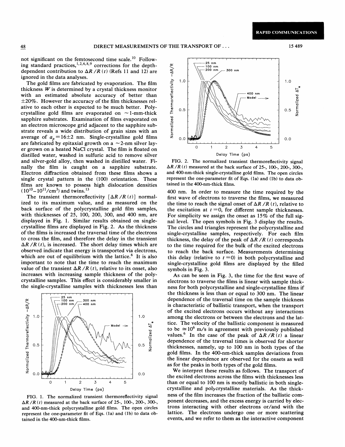**RAPID COMMUNICATIONS** 

not significant on the femtosecond time scale.<sup>10</sup> Following standard practices,  $1, 2, 6, 8, 9$  corrections for the depthdependent contribution to  $\Delta R / R$  (t) (Refs 11 and 12) are ignored in the data analyses.

The gold films are fabricated by evaporation. The film thickness  $W$  is determined by a crystal thickness monitor with an estimated absolute accuracy of better than  $\pm 20\%$ . However the accuracy of the film thicknesses relative to each other is expected to be much better. Polycrystalline gold films are evaporated on  $\sim$  1-mm-thick sapphire substrates. Examination of films evaporated on an electron microscope grid adjacent to the sapphire substrate reveals a wide distribution of grain sizes with an average of  $a_n = 16\pm 2$  nm. Single-crystalline gold films are fabricated by epitaxial growth on a  $\sim$  2-nm silver layer grown on a heated NaCl crystal. The film is floated on distilled water, washed in sulfuric acid to remove silver and silver-gold alloy, then washed in distilled water. Finally the film is caught on a sapphire substrate. Electron diffraction obtained from these films shows a single crystal pattern in the (100) orientation. These films are known to possess high dislocation densities  $(10^{10} - 10^{11}/\text{cm}^3)$  and twins.<sup>13</sup>

The transient thermoreflectivity  $[\Delta R/R(t)]$  normalized to its maximum value, and as measured on the back surface of the polycrystalline gold film samples, with thicknesses of 25, 100, 200, 300, and 400 nm, are displayed in Fig. 1. Similar results obtained on singlecrystalline films are displayed in Fig. 2. As the thickness of the films is increased the traversal time of the electrons to cross the film, and therefore the delay in the transient  $\Delta R / R(t)$ , is increased. The short delay times which are observed indicate that energy is transported via electrons, which are out of equilibrium with the lattice.<sup>6</sup> It is also important to note that the time to reach the maximum value of the transient  $\Delta R / R (t)$ , relative to its onset, also increases with increasing sample thickness of the polycrystalline samples. This effect is considerably smaller in the single-crystalline samples with thicknesses less than



FIG. 1. The normalized transient thermoreflectivity signal  $\Delta R$  /R (t) measured at the back surface of 25-, 100-, 200-, 300-, and 400-nm-thick polycrystalline gold films. The open circles represent the one-parameter fit of Eqs. (1a) and (1b) to data obtained in the 400-nm-thick films.



FIG. 2. The normalized transient thermoreflectivity signal  $\Delta R$  /R (t) measured at the back surface of 25-, 100-, 200-, 300-, and 400-nm-thick single-crystalline gold films. The open circles represent the one-parameter fit of Eqs. (1a) and (1b) to data obtained in the 400-nm-thick films.

400 nm. In order to measure the time required by the first wave of electrons to traverse the films, we measured the time to reach the signal onset of  $\Delta R / R (t)$ , relative to the excitation at  $t = 0$ , for different sample thicknesses. For simplicity we assign the onset as 15% of the full signal level. The open symbols in Fig. 3 display the results. The circles and triangles represent the polycrystalline and single-crystalline samples, respectively. For each film thickness, the delay of the peak of  $\Delta R/R$  (t) corresponds to the time required for the bulk of the excited electrons to reach the back surface. Measurements determining this delay (relative to  $t = 0$ ) in both polycrystalline and single-crystalline gold films are displayed by the filled symbols in Fig. 3.

As can be seen in Fig. 3, the time for the first wave of electrons to traverse the films is linear with sample thickness for both polycrystalline and single-crystalline films if the thickness is less than or equal to 300 nm. The linear dependence of the traversal time on the sample thickness is characteristic of ballistic transport, when the transport of the excited electrons occurs without any interactions among the electrons or between the electrons and the lattice. The velocity of the ballistic component is measured to be  $\approx 10^6$  m/s in agreement with previously published values.<sup>6</sup> In the case of the peak of  $\Delta R / R(t)$  a linear dependence of the traversal times is observed for shorter thicknesses, namely, up to 100 nm in both types of the gold films. In the 400-nm-thick samples deviations from the linear dependence are observed for the onsets as well as for the peaks in both types of the gold films.

We interpret these results as follows. The transport of the excited electrons across the films with thicknesses less than or equal to 100 nm is mostly ballistic in both singlecrystalline and polycrystalline materials. As the thickness of the film increases the fraction of the ballistic component decreases, and the excess energy is carried by electrons interacting with other electrons or/and with the lattice. The electrons undergo one or more scattering events, and we refer to them as the interactive component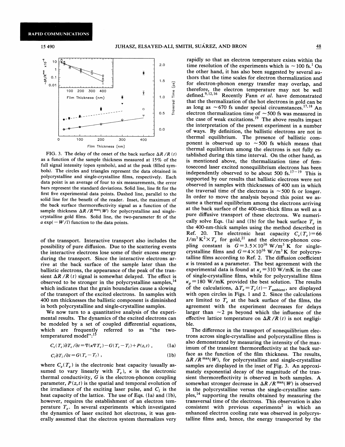

FIG. 3. The delay of the onset of the back surface  $\Delta R / R(t)$ as a function of the sample thickness measured at  $15\%$  of the full signal intensity (open symbols), and at the peak (filled symbols). The circles and triangles represent the data obtained in polycrystalline and single-crystalline films, respectively. Each data point is an average of four to six measurements, the error bars represent the standard deviations. Solid line, line fit for the first five experimental data points. Dashed line, parallel to the solid line for the benefit of the reader. Inset, the maximum of the back surface thermoreflectivity signal as a function of the sample thickness  $\Delta R / R^{\max(W)}$  for polycrystalline and singlecrystalline gold films. Solid line, the two-parameter fit of the  $a \exp(-W/l)$  function to the data points.

of the transport. Interactive transport also includes the possibility of pure diffusion. Due to the scattering events the interactive electrons lose some of their excess energy during the transport. Since the interactive electrons arrive at the back surface of the sample later than the ballistic electrons, the appearance of the peak of the transient  $\Delta R/R$  (t) signal is somewhat delayed. The effect is observed to be stronger in the polycrystalline samples, ' which indicates that the grain boundaries cause a slowing of the transport of the excited electrons. In samples with 400 nm thicknesses the ballistic component is diminished in both polycrystalline and single-crystalline samples.

We now turn to a quantitative analysis of the experimental results. The dynamics of the excited electrons can be modeled by a set of coupled differential equations, which are frequently referred to as "the twotemperatured model":<sup>15</sup>

$$
C_e(T_e)\partial T_e/\partial t = \nabla(\kappa \nabla T_e) - G(T_e - T_l) + P(z, t) , \qquad (1a)
$$

$$
C_l \partial T_l / \partial t = G(T_e - T_l) , \qquad (1b)
$$

where  $C_e(T_e)$  is the electronic heat capacity (usually assumed to vary linearly with  $T_e$ ),  $\kappa$  is the electronic thermal conductivity,  $G$  is the electron-phonon coupling parameter,  $P(z, t)$  is the spatial and temporal evolution of the irradiance of the exciting laser pulse, and  $C_i$  is the heat capacity of the lattice. The use of Eqs. (1a) and (1b), however, requires the establishment of an electron temperature  $T_e$ . In several experiments which investigated the dynamics of laser excited hot electrons, it was generally assumed that the electron system thermalizes very

rapidly so that an electron temperature exists within the time resolution of the experiments which is  $\sim$  100 fs.<sup>1</sup> On the other hand, it has also been suggested by several authors that the time scales for electron thermalization and for electron-phonon energy transfer may overlap, and herefore, the electron temperature may not be well defined. the electron temperature may not be well<br> $^{12,16}$  Recently Fann *et al.* have demonstrated that the thermalization of the hot electrons in gold can be that the thermalization of the hot electrons in gold can be as long as  $\sim$  670 fs under special circumstances.<sup>17,18</sup> An electron thermalization time of  $\sim$  500 fs was measured in the case of weak excitations.<sup>19</sup> The above results impact the interpretation of the present experiment in a number of ways. By definition, the ballistic electrons are not in thermal equilibrium. The presence of ballistic component is observed up to  $\sim$  500 fs which means that thermal equilibrium among the electrons is not fully established during this time interval. On the other hand, as is mentioned above, the thermalization time of femtosecond laser excited nonequilibrium electrons has been independently observed to be about 500 fs. $17-19$  This is supported by our results that ballistic electrons were not observed in samples with thicknesses of 400 nm in which the traversal time of the electrons is  $\sim$  500 fs or longer. In order to move the analysis beyond this point we assume a thermal equilibrium among the electrons arriving at the back surface of the 400-nm-thick films as well as a pure diffusive transport of these electrons. We numerically solve Eqs. (1a) and (1b) for the back surface  $T<sub>e</sub>$  in the 400-nm-thick samples using the method described in Ref. 20. The electronic heat capacity  $C_e(T_e)=66$  $J/m^3 K^2 \times T_e$  for gold,<sup>21</sup> and the electron-phonon coupling constant is  $G = 3.5 \times 10^{16} \text{ W/m}^3 \text{ K}$  for singlecrystalline films and  $G=4\times10^{16}$  W/m<sup>3</sup>K for polycrystalline films according to Ref. 2. The diffusion coefficient  $\kappa$  is treated as a parameter. The best agreement with the experimental data is found at  $\kappa$ , = 310 W/mK in the case of single-crystalline films, while for polycrystalline films  $\kappa_p$  = 180 W/mK provided the best solution. The results of the calculations,  $\Delta T_e = T_e(t) - T_{\text{ambient}}$ , are displayed with open circles in Figs. <sup>1</sup> and 2. Since the calculations are limited to  $T_e$  at the back surface of the films, the agreement with the experiment decreases for delays larger than  $\sim$ 2 ps beyond which the influence of the effective lattice temperature on  $\Delta R / R$  (t) is not negligible.

The difference in the transport of nonequilibrium electrons across single-crystalline and polycrystalline films is also demonstrated by measuring the intensity of the maximum of the transient thermoreflectivity at the back surface as the function of the film thickness. The results,  $\Delta R / R^{\max}(W)$ , for polycrystalline and single-crystalline samples are displayed in the inset of Fig. 3. An approximately exponential decay of the magnitude of the transient thermoreflectivity is observed in both samples. A somewhat stronger decrease in  $\Delta R / R$ <sup>max</sup>(W) is observed in the polycrystalline versus the single-crystalline samples,<sup>14</sup> supporting the results obtained by measuring the transversal time of the electrons. This observation is also consistent with previous experiments<sup>2</sup> in which an enhanced electron cooling rate was observed in polycrystalline films and, hence, the energy transported by the